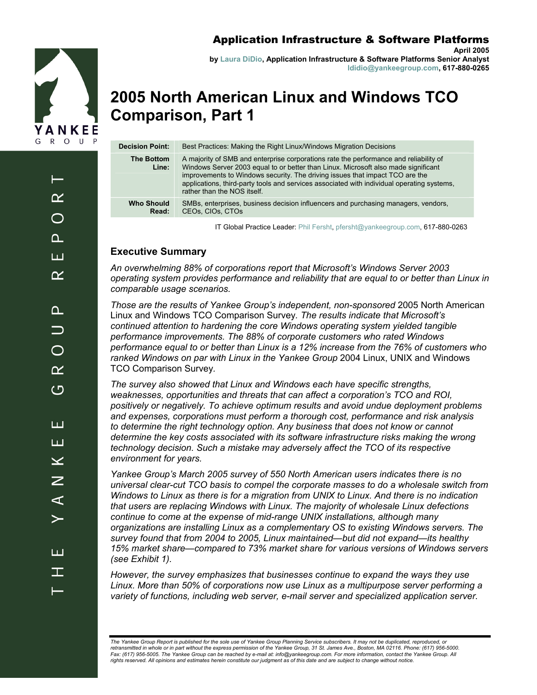

**April 2005 by Laura DiDio, Application Infrastructure & Software Platforms Senior Analyst ldidio@yankeegroup.com, 617-880-0265** 

# **2005 North American Linux and Windows TCO Comparison, Part 1**

| <b>Decision Point:</b>     | Best Practices: Making the Right Linux/Windows Migration Decisions                                                                                                                                                                                                                                                                                                                       |
|----------------------------|------------------------------------------------------------------------------------------------------------------------------------------------------------------------------------------------------------------------------------------------------------------------------------------------------------------------------------------------------------------------------------------|
| <b>The Bottom</b><br>Line: | A majority of SMB and enterprise corporations rate the performance and reliability of<br>Windows Server 2003 equal to or better than Linux. Microsoft also made significant<br>improvements to Windows security. The driving issues that impact TCO are the<br>applications, third-party tools and services associated with individual operating systems,<br>rather than the NOS itself. |
| <b>Who Should</b><br>Read: | SMBs, enterprises, business decision influencers and purchasing managers, vendors,<br>CEOs. CIOs. CTOs                                                                                                                                                                                                                                                                                   |
|                            |                                                                                                                                                                                                                                                                                                                                                                                          |

IT Global Practice Leader: Phil Fersht, pfersht@yankeegroup.com, 617-880-0263

### **Executive Summary**

*An overwhelming 88% of corporations report that Microsoft's Windows Server 2003 operating system provides performance and reliability that are equal to or better than Linux in comparable usage scenarios.* 

*Those are the results of Yankee Group's independent, non-sponsored* 2005 North American Linux and Windows TCO Comparison Survey*. The results indicate that Microsoft's continued attention to hardening the core Windows operating system yielded tangible performance improvements. The 88% of corporate customers who rated Windows performance equal to or better than Linux is a 12% increase from the 76% of customers who ranked Windows on par with Linux in the Yankee Group* 2004 Linux, UNIX and Windows TCO Comparison Survey*.* 

*The survey also showed that Linux and Windows each have specific strengths, weaknesses, opportunities and threats that can affect a corporation's TCO and ROI, positively or negatively. To achieve optimum results and avoid undue deployment problems and expenses, corporations must perform a thorough cost, performance and risk analysis*  to determine the right technology option. Any business that does not know or cannot *determine the key costs associated with its software infrastructure risks making the wrong technology decision. Such a mistake may adversely affect the TCO of its respective environment for years.* 

*Yankee Group's March 2005 survey of 550 North American users indicates there is no universal clear-cut TCO basis to compel the corporate masses to do a wholesale switch from Windows to Linux as there is for a migration from UNIX to Linux. And there is no indication that users are replacing Windows with Linux. The majority of wholesale Linux defections continue to come at the expense of mid-range UNIX installations, although many organizations are installing Linux as a complementary OS to existing Windows servers. The survey found that from 2004 to 2005, Linux maintained—but did not expand—its healthy 15% market share—compared to 73% market share for various versions of Windows servers (see Exhibit 1).* 

*However, the survey emphasizes that businesses continue to expand the ways they use Linux. More than 50% of corporations now use Linux as a multipurpose server performing a variety of functions, including web server, e-mail server and specialized application server.* 

*The Yankee Group Report is published for the sole use of Yankee Group Planning Service subscribers. It may not be duplicated, reproduced, or retransmitted in whole or in part without the express permission of the Yankee Group, 31 St. James Ave., Boston, MA 02116. Phone: (617) 956-5000.*  Fax: (617) 956-5005. The Yankee Group can be reached by e-mail at: info@yankeegroup.com. For more information, contact the Yankee Group. All<br>rights reserved. All opinions and estimates herein constitute our judgment as of

 $\alpha$  $\bigcirc$ വ ш  $\alpha$  $\Omega$  $\overline{\phantom{0}}$  $\bigcap$  $\alpha$ ひ ய ய  $\overline{\textbf{X}}$ Z  $\blacktriangleleft$ ய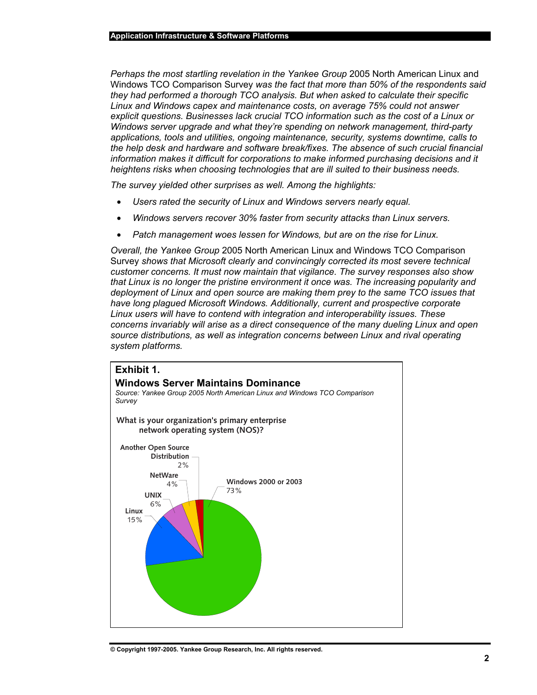*Perhaps the most startling revelation in the Yankee Group* 2005 North American Linux and Windows TCO Comparison Survey *was the fact that more than 50% of the respondents said they had performed a thorough TCO analysis. But when asked to calculate their specific Linux and Windows capex and maintenance costs, on average 75% could not answer explicit questions. Businesses lack crucial TCO information such as the cost of a Linux or Windows server upgrade and what they're spending on network management, third-party applications, tools and utilities, ongoing maintenance, security, systems downtime, calls to the help desk and hardware and software break/fixes. The absence of such crucial financial information makes it difficult for corporations to make informed purchasing decisions and it heightens risks when choosing technologies that are ill suited to their business needs.* 

*The survey yielded other surprises as well. Among the highlights:* 

- *Users rated the security of Linux and Windows servers nearly equal.*
- *Windows servers recover 30% faster from security attacks than Linux servers.*
- *Patch management woes lessen for Windows, but are on the rise for Linux.*

*Overall, the Yankee Group* 2005 North American Linux and Windows TCO Comparison Survey *shows that Microsoft clearly and convincingly corrected its most severe technical customer concerns. It must now maintain that vigilance. The survey responses also show that Linux is no longer the pristine environment it once was. The increasing popularity and deployment of Linux and open source are making them prey to the same TCO issues that have long plagued Microsoft Windows. Additionally, current and prospective corporate Linux users will have to contend with integration and interoperability issues. These concerns invariably will arise as a direct consequence of the many dueling Linux and open source distributions, as well as integration concerns between Linux and rival operating system platforms.* 

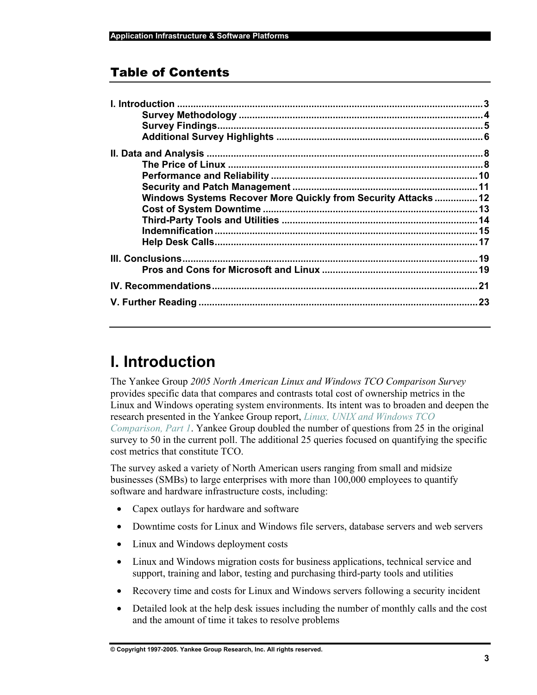### Table of Contents

| Windows Systems Recover More Quickly from Security Attacks 12 |  |
|---------------------------------------------------------------|--|
|                                                               |  |
|                                                               |  |
|                                                               |  |
|                                                               |  |
|                                                               |  |
|                                                               |  |
|                                                               |  |
|                                                               |  |

# **I. Introduction**

The Yankee Group *2005 North American Linux and Windows TCO Comparison Survey* provides specific data that compares and contrasts total cost of ownership metrics in the Linux and Windows operating system environments. Its intent was to broaden and deepen the research presented in the Yankee Group report, *Linux, UNIX and Windows TCO Comparison, Part 1*. Yankee Group doubled the number of questions from 25 in the original survey to 50 in the current poll. The additional 25 queries focused on quantifying the specific cost metrics that constitute TCO.

The survey asked a variety of North American users ranging from small and midsize businesses (SMBs) to large enterprises with more than 100,000 employees to quantify software and hardware infrastructure costs, including:

- Capex outlays for hardware and software
- Downtime costs for Linux and Windows file servers, database servers and web servers
- Linux and Windows deployment costs
- Linux and Windows migration costs for business applications, technical service and support, training and labor, testing and purchasing third-party tools and utilities
- Recovery time and costs for Linux and Windows servers following a security incident
- Detailed look at the help desk issues including the number of monthly calls and the cost and the amount of time it takes to resolve problems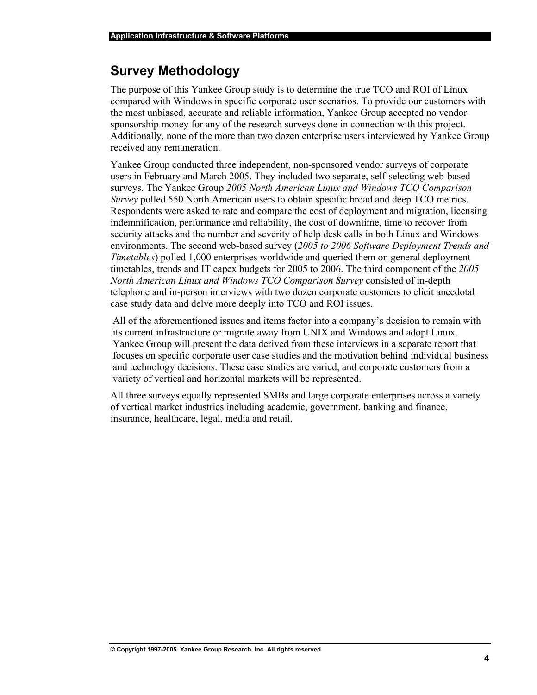## **Survey Methodology**

The purpose of this Yankee Group study is to determine the true TCO and ROI of Linux compared with Windows in specific corporate user scenarios. To provide our customers with the most unbiased, accurate and reliable information, Yankee Group accepted no vendor sponsorship money for any of the research surveys done in connection with this project. Additionally, none of the more than two dozen enterprise users interviewed by Yankee Group received any remuneration.

Yankee Group conducted three independent, non-sponsored vendor surveys of corporate users in February and March 2005. They included two separate, self-selecting web-based surveys. The Yankee Group *2005 North American Linux and Windows TCO Comparison Survey* polled 550 North American users to obtain specific broad and deep TCO metrics. Respondents were asked to rate and compare the cost of deployment and migration, licensing indemnification, performance and reliability, the cost of downtime, time to recover from security attacks and the number and severity of help desk calls in both Linux and Windows environments. The second web-based survey (*2005 to 2006 Software Deployment Trends and Timetables*) polled 1,000 enterprises worldwide and queried them on general deployment timetables, trends and IT capex budgets for 2005 to 2006. The third component of the *2005 North American Linux and Windows TCO Comparison Survey* consisted of in-depth telephone and in-person interviews with two dozen corporate customers to elicit anecdotal case study data and delve more deeply into TCO and ROI issues.

All of the aforementioned issues and items factor into a company's decision to remain with its current infrastructure or migrate away from UNIX and Windows and adopt Linux. Yankee Group will present the data derived from these interviews in a separate report that focuses on specific corporate user case studies and the motivation behind individual business and technology decisions. These case studies are varied, and corporate customers from a variety of vertical and horizontal markets will be represented.

All three surveys equally represented SMBs and large corporate enterprises across a variety of vertical market industries including academic, government, banking and finance, insurance, healthcare, legal, media and retail.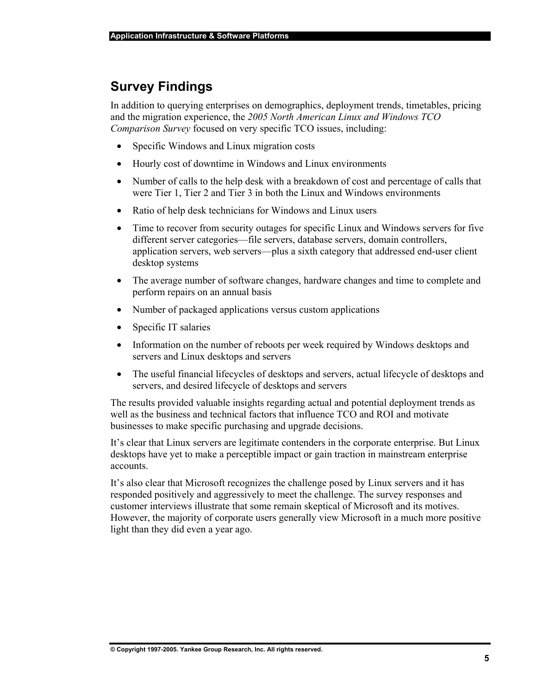## **Survey Findings**

In addition to querying enterprises on demographics, deployment trends, timetables, pricing and the migration experience, the *2005 North American Linux and Windows TCO Comparison Survey* focused on very specific TCO issues, including:

- Specific Windows and Linux migration costs
- Hourly cost of downtime in Windows and Linux environments
- Number of calls to the help desk with a breakdown of cost and percentage of calls that were Tier 1, Tier 2 and Tier 3 in both the Linux and Windows environments
- Ratio of help desk technicians for Windows and Linux users
- Time to recover from security outages for specific Linux and Windows servers for five different server categories—file servers, database servers, domain controllers, application servers, web servers—plus a sixth category that addressed end-user client desktop systems
- The average number of software changes, hardware changes and time to complete and perform repairs on an annual basis
- Number of packaged applications versus custom applications
- Specific IT salaries
- Information on the number of reboots per week required by Windows desktops and servers and Linux desktops and servers
- The useful financial lifecycles of desktops and servers, actual lifecycle of desktops and servers, and desired lifecycle of desktops and servers

The results provided valuable insights regarding actual and potential deployment trends as well as the business and technical factors that influence TCO and ROI and motivate businesses to make specific purchasing and upgrade decisions.

It's clear that Linux servers are legitimate contenders in the corporate enterprise. But Linux desktops have yet to make a perceptible impact or gain traction in mainstream enterprise accounts.

It's also clear that Microsoft recognizes the challenge posed by Linux servers and it has responded positively and aggressively to meet the challenge. The survey responses and customer interviews illustrate that some remain skeptical of Microsoft and its motives. However, the majority of corporate users generally view Microsoft in a much more positive light than they did even a year ago.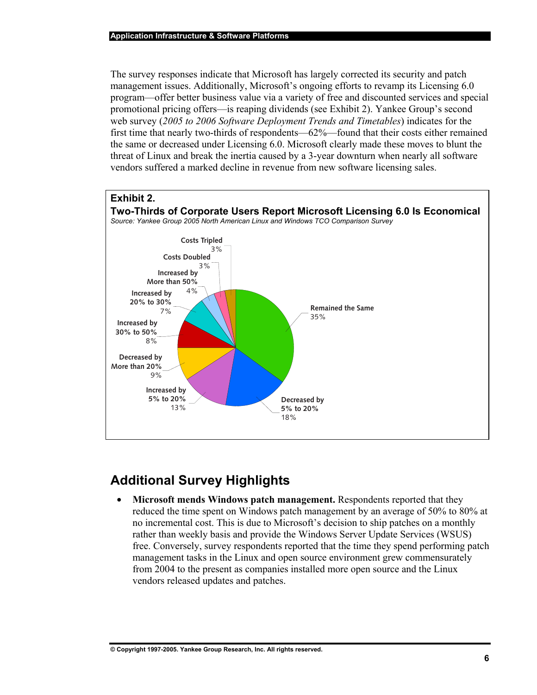The survey responses indicate that Microsoft has largely corrected its security and patch management issues. Additionally, Microsoft's ongoing efforts to revamp its Licensing 6.0 program—offer better business value via a variety of free and discounted services and special promotional pricing offers—is reaping dividends (see Exhibit 2). Yankee Group's second web survey (*2005 to 2006 Software Deployment Trends and Timetables*) indicates for the first time that nearly two-thirds of respondents—62%—found that their costs either remained the same or decreased under Licensing 6.0. Microsoft clearly made these moves to blunt the threat of Linux and break the inertia caused by a 3-year downturn when nearly all software vendors suffered a marked decline in revenue from new software licensing sales.



## **Additional Survey Highlights**

• **Microsoft mends Windows patch management.** Respondents reported that they reduced the time spent on Windows patch management by an average of 50% to 80% at no incremental cost. This is due to Microsoft's decision to ship patches on a monthly rather than weekly basis and provide the Windows Server Update Services (WSUS) free. Conversely, survey respondents reported that the time they spend performing patch management tasks in the Linux and open source environment grew commensurately from 2004 to the present as companies installed more open source and the Linux vendors released updates and patches.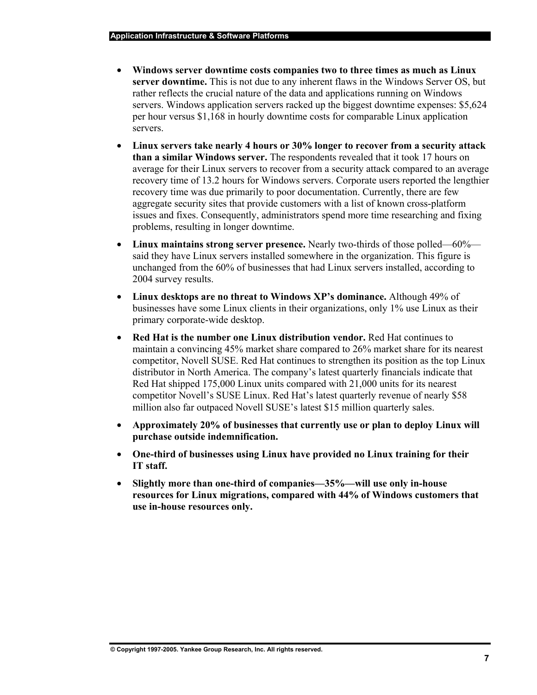- **Windows server downtime costs companies two to three times as much as Linux server downtime.** This is not due to any inherent flaws in the Windows Server OS, but rather reflects the crucial nature of the data and applications running on Windows servers. Windows application servers racked up the biggest downtime expenses: \$5,624 per hour versus \$1,168 in hourly downtime costs for comparable Linux application servers.
- **Linux servers take nearly 4 hours or 30% longer to recover from a security attack than a similar Windows server.** The respondents revealed that it took 17 hours on average for their Linux servers to recover from a security attack compared to an average recovery time of 13.2 hours for Windows servers. Corporate users reported the lengthier recovery time was due primarily to poor documentation. Currently, there are few aggregate security sites that provide customers with a list of known cross-platform issues and fixes. Consequently, administrators spend more time researching and fixing problems, resulting in longer downtime.
- **Linux maintains strong server presence.** Nearly two-thirds of those polled—60% said they have Linux servers installed somewhere in the organization. This figure is unchanged from the 60% of businesses that had Linux servers installed, according to 2004 survey results.
- **Linux desktops are no threat to Windows XP's dominance.** Although 49% of businesses have some Linux clients in their organizations, only 1% use Linux as their primary corporate-wide desktop.
- **Red Hat is the number one Linux distribution vendor.** Red Hat continues to maintain a convincing 45% market share compared to 26% market share for its nearest competitor, Novell SUSE. Red Hat continues to strengthen its position as the top Linux distributor in North America. The company's latest quarterly financials indicate that Red Hat shipped 175,000 Linux units compared with 21,000 units for its nearest competitor Novell's SUSE Linux. Red Hat's latest quarterly revenue of nearly \$58 million also far outpaced Novell SUSE's latest \$15 million quarterly sales.
- **Approximately 20% of businesses that currently use or plan to deploy Linux will purchase outside indemnification.**
- **One-third of businesses using Linux have provided no Linux training for their IT staff.**
- **Slightly more than one-third of companies—35%—will use only in-house resources for Linux migrations, compared with 44% of Windows customers that use in-house resources only.**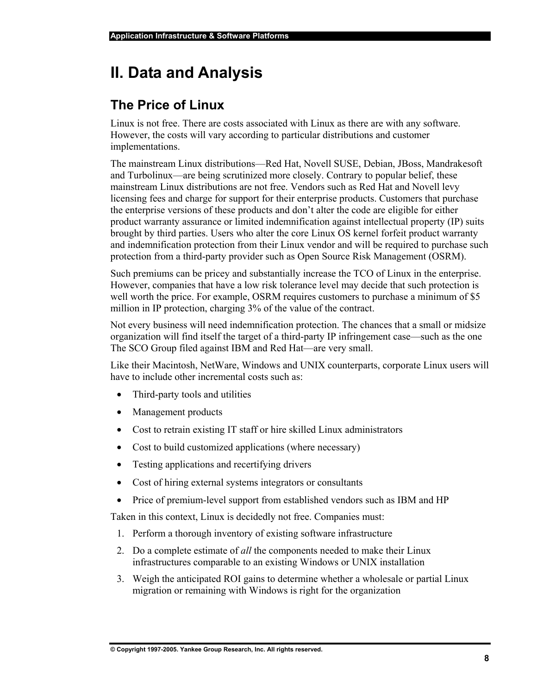# **II. Data and Analysis**

# **The Price of Linux**

Linux is not free. There are costs associated with Linux as there are with any software. However, the costs will vary according to particular distributions and customer implementations.

The mainstream Linux distributions—Red Hat, Novell SUSE, Debian, JBoss, Mandrakesoft and Turbolinux—are being scrutinized more closely. Contrary to popular belief, these mainstream Linux distributions are not free. Vendors such as Red Hat and Novell levy licensing fees and charge for support for their enterprise products. Customers that purchase the enterprise versions of these products and don't alter the code are eligible for either product warranty assurance or limited indemnification against intellectual property (IP) suits brought by third parties. Users who alter the core Linux OS kernel forfeit product warranty and indemnification protection from their Linux vendor and will be required to purchase such protection from a third-party provider such as Open Source Risk Management (OSRM).

Such premiums can be pricey and substantially increase the TCO of Linux in the enterprise. However, companies that have a low risk tolerance level may decide that such protection is well worth the price. For example, OSRM requires customers to purchase a minimum of \$5 million in IP protection, charging 3% of the value of the contract.

Not every business will need indemnification protection. The chances that a small or midsize organization will find itself the target of a third-party IP infringement case—such as the one The SCO Group filed against IBM and Red Hat—are very small.

Like their Macintosh, NetWare, Windows and UNIX counterparts, corporate Linux users will have to include other incremental costs such as:

- Third-party tools and utilities
- Management products
- Cost to retrain existing IT staff or hire skilled Linux administrators
- Cost to build customized applications (where necessary)
- Testing applications and recertifying drivers
- Cost of hiring external systems integrators or consultants
- Price of premium-level support from established vendors such as IBM and HP

Taken in this context, Linux is decidedly not free. Companies must:

- 1. Perform a thorough inventory of existing software infrastructure
- 2. Do a complete estimate of *all* the components needed to make their Linux infrastructures comparable to an existing Windows or UNIX installation
- 3. Weigh the anticipated ROI gains to determine whether a wholesale or partial Linux migration or remaining with Windows is right for the organization

**© Copyright 1997-2005. Yankee Group Research, Inc. All rights reserved.**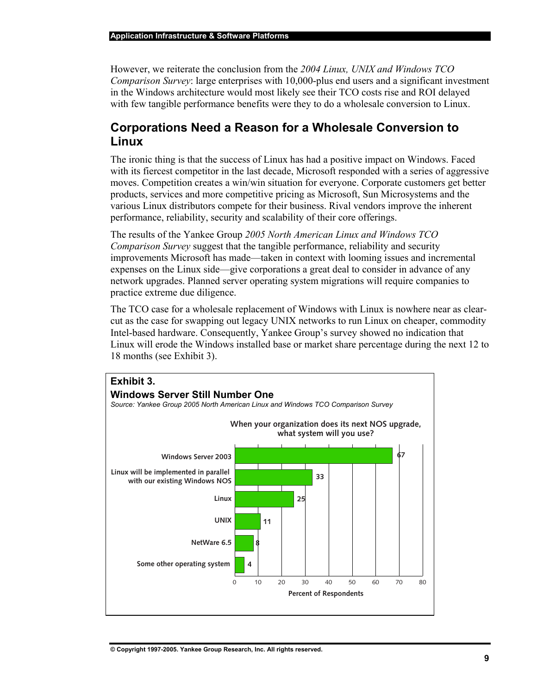However, we reiterate the conclusion from the *2004 Linux, UNIX and Windows TCO Comparison Survey*: large enterprises with 10,000-plus end users and a significant investment in the Windows architecture would most likely see their TCO costs rise and ROI delayed with few tangible performance benefits were they to do a wholesale conversion to Linux.

### **Corporations Need a Reason for a Wholesale Conversion to Linux**

The ironic thing is that the success of Linux has had a positive impact on Windows. Faced with its fiercest competitor in the last decade, Microsoft responded with a series of aggressive moves. Competition creates a win/win situation for everyone. Corporate customers get better products, services and more competitive pricing as Microsoft, Sun Microsystems and the various Linux distributors compete for their business. Rival vendors improve the inherent performance, reliability, security and scalability of their core offerings.

The results of the Yankee Group *2005 North American Linux and Windows TCO Comparison Survey* suggest that the tangible performance, reliability and security improvements Microsoft has made—taken in context with looming issues and incremental expenses on the Linux side—give corporations a great deal to consider in advance of any network upgrades. Planned server operating system migrations will require companies to practice extreme due diligence.

The TCO case for a wholesale replacement of Windows with Linux is nowhere near as clearcut as the case for swapping out legacy UNIX networks to run Linux on cheaper, commodity Intel-based hardware. Consequently, Yankee Group's survey showed no indication that Linux will erode the Windows installed base or market share percentage during the next 12 to 18 months (see Exhibit 3).

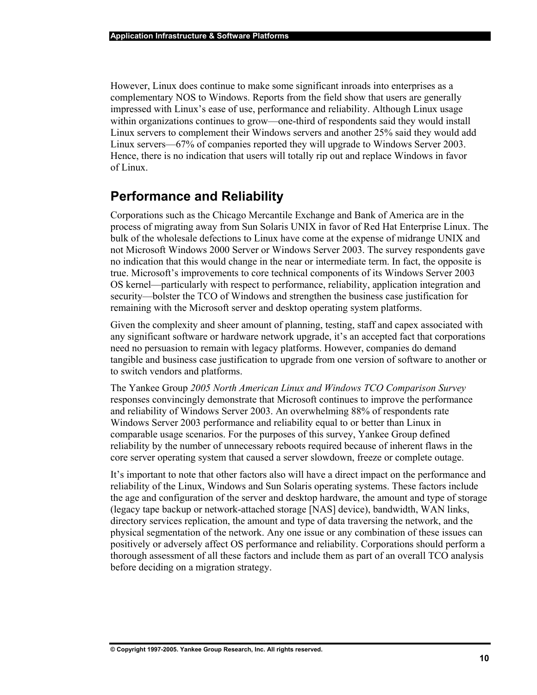However, Linux does continue to make some significant inroads into enterprises as a complementary NOS to Windows. Reports from the field show that users are generally impressed with Linux's ease of use, performance and reliability. Although Linux usage within organizations continues to grow—one-third of respondents said they would install Linux servers to complement their Windows servers and another 25% said they would add Linux servers—67% of companies reported they will upgrade to Windows Server 2003. Hence, there is no indication that users will totally rip out and replace Windows in favor of Linux.

### **Performance and Reliability**

Corporations such as the Chicago Mercantile Exchange and Bank of America are in the process of migrating away from Sun Solaris UNIX in favor of Red Hat Enterprise Linux. The bulk of the wholesale defections to Linux have come at the expense of midrange UNIX and not Microsoft Windows 2000 Server or Windows Server 2003. The survey respondents gave no indication that this would change in the near or intermediate term. In fact, the opposite is true. Microsoft's improvements to core technical components of its Windows Server 2003 OS kernel—particularly with respect to performance, reliability, application integration and security—bolster the TCO of Windows and strengthen the business case justification for remaining with the Microsoft server and desktop operating system platforms.

Given the complexity and sheer amount of planning, testing, staff and capex associated with any significant software or hardware network upgrade, it's an accepted fact that corporations need no persuasion to remain with legacy platforms. However, companies do demand tangible and business case justification to upgrade from one version of software to another or to switch vendors and platforms.

The Yankee Group *2005 North American Linux and Windows TCO Comparison Survey* responses convincingly demonstrate that Microsoft continues to improve the performance and reliability of Windows Server 2003. An overwhelming 88% of respondents rate Windows Server 2003 performance and reliability equal to or better than Linux in comparable usage scenarios. For the purposes of this survey, Yankee Group defined reliability by the number of unnecessary reboots required because of inherent flaws in the core server operating system that caused a server slowdown, freeze or complete outage.

It's important to note that other factors also will have a direct impact on the performance and reliability of the Linux, Windows and Sun Solaris operating systems. These factors include the age and configuration of the server and desktop hardware, the amount and type of storage (legacy tape backup or network-attached storage [NAS] device), bandwidth, WAN links, directory services replication, the amount and type of data traversing the network, and the physical segmentation of the network. Any one issue or any combination of these issues can positively or adversely affect OS performance and reliability. Corporations should perform a thorough assessment of all these factors and include them as part of an overall TCO analysis before deciding on a migration strategy.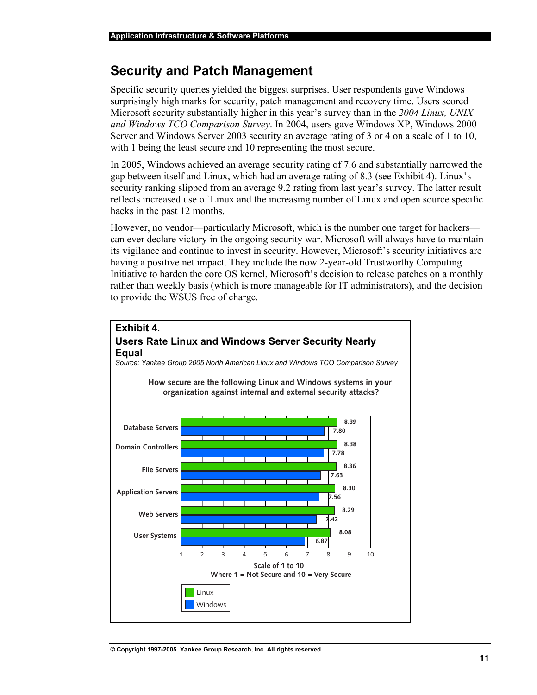### **Security and Patch Management**

Specific security queries yielded the biggest surprises. User respondents gave Windows surprisingly high marks for security, patch management and recovery time. Users scored Microsoft security substantially higher in this year's survey than in the *2004 Linux, UNIX and Windows TCO Comparison Survey*. In 2004, users gave Windows XP, Windows 2000 Server and Windows Server 2003 security an average rating of 3 or 4 on a scale of 1 to 10, with 1 being the least secure and 10 representing the most secure.

In 2005, Windows achieved an average security rating of 7.6 and substantially narrowed the gap between itself and Linux, which had an average rating of 8.3 (see Exhibit 4). Linux's security ranking slipped from an average 9.2 rating from last year's survey. The latter result reflects increased use of Linux and the increasing number of Linux and open source specific hacks in the past 12 months.

However, no vendor—particularly Microsoft, which is the number one target for hackers can ever declare victory in the ongoing security war. Microsoft will always have to maintain its vigilance and continue to invest in security. However, Microsoft's security initiatives are having a positive net impact. They include the now 2-year-old Trustworthy Computing Initiative to harden the core OS kernel, Microsoft's decision to release patches on a monthly rather than weekly basis (which is more manageable for IT administrators), and the decision to provide the WSUS free of charge.

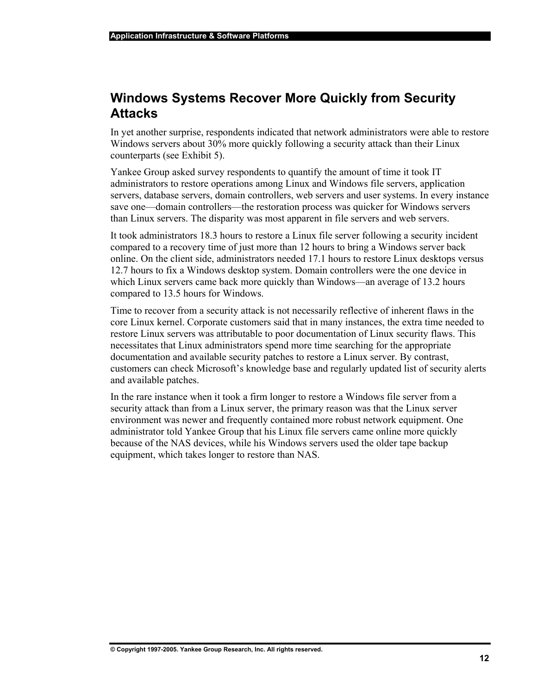### **Windows Systems Recover More Quickly from Security Attacks**

In yet another surprise, respondents indicated that network administrators were able to restore Windows servers about 30% more quickly following a security attack than their Linux counterparts (see Exhibit 5).

Yankee Group asked survey respondents to quantify the amount of time it took IT administrators to restore operations among Linux and Windows file servers, application servers, database servers, domain controllers, web servers and user systems. In every instance save one—domain controllers—the restoration process was quicker for Windows servers than Linux servers. The disparity was most apparent in file servers and web servers.

It took administrators 18.3 hours to restore a Linux file server following a security incident compared to a recovery time of just more than 12 hours to bring a Windows server back online. On the client side, administrators needed 17.1 hours to restore Linux desktops versus 12.7 hours to fix a Windows desktop system. Domain controllers were the one device in which Linux servers came back more quickly than Windows—an average of 13.2 hours compared to 13.5 hours for Windows.

Time to recover from a security attack is not necessarily reflective of inherent flaws in the core Linux kernel. Corporate customers said that in many instances, the extra time needed to restore Linux servers was attributable to poor documentation of Linux security flaws. This necessitates that Linux administrators spend more time searching for the appropriate documentation and available security patches to restore a Linux server. By contrast, customers can check Microsoft's knowledge base and regularly updated list of security alerts and available patches.

In the rare instance when it took a firm longer to restore a Windows file server from a security attack than from a Linux server, the primary reason was that the Linux server environment was newer and frequently contained more robust network equipment. One administrator told Yankee Group that his Linux file servers came online more quickly because of the NAS devices, while his Windows servers used the older tape backup equipment, which takes longer to restore than NAS.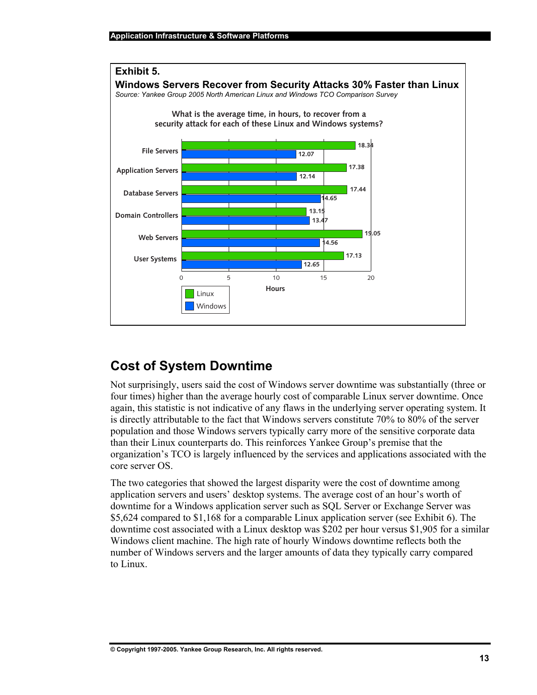

# **Cost of System Downtime**

Not surprisingly, users said the cost of Windows server downtime was substantially (three or four times) higher than the average hourly cost of comparable Linux server downtime. Once again, this statistic is not indicative of any flaws in the underlying server operating system. It is directly attributable to the fact that Windows servers constitute 70% to 80% of the server population and those Windows servers typically carry more of the sensitive corporate data than their Linux counterparts do. This reinforces Yankee Group's premise that the organization's TCO is largely influenced by the services and applications associated with the core server OS.

The two categories that showed the largest disparity were the cost of downtime among application servers and users' desktop systems. The average cost of an hour's worth of downtime for a Windows application server such as SQL Server or Exchange Server was \$5,624 compared to \$1,168 for a comparable Linux application server (see Exhibit 6). The downtime cost associated with a Linux desktop was \$202 per hour versus \$1,905 for a similar Windows client machine. The high rate of hourly Windows downtime reflects both the number of Windows servers and the larger amounts of data they typically carry compared to Linux.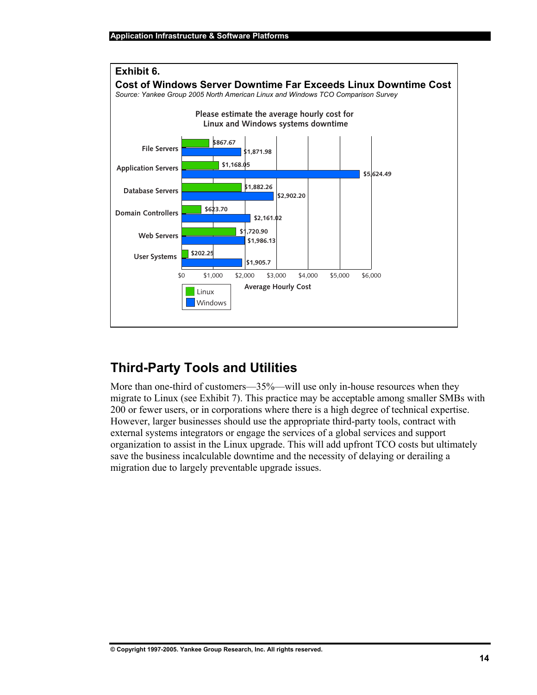

# **Third-Party Tools and Utilities**

More than one-third of customers—35%—will use only in-house resources when they migrate to Linux (see Exhibit 7). This practice may be acceptable among smaller SMBs with 200 or fewer users, or in corporations where there is a high degree of technical expertise. However, larger businesses should use the appropriate third-party tools, contract with external systems integrators or engage the services of a global services and support organization to assist in the Linux upgrade. This will add upfront TCO costs but ultimately save the business incalculable downtime and the necessity of delaying or derailing a migration due to largely preventable upgrade issues.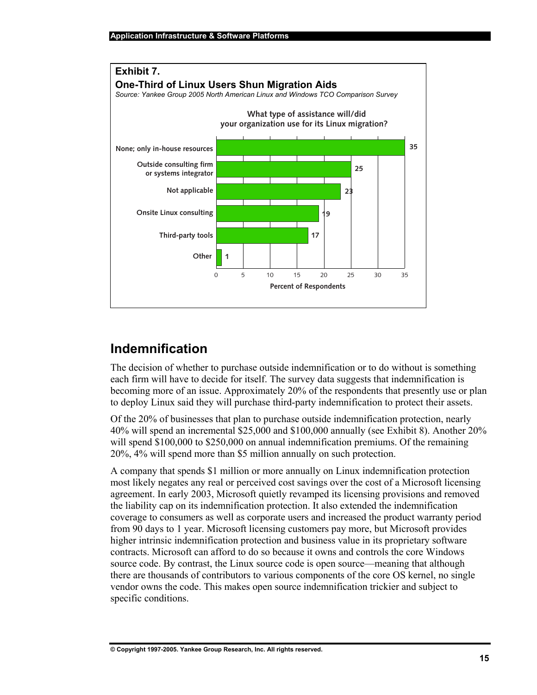

## **Indemnification**

The decision of whether to purchase outside indemnification or to do without is something each firm will have to decide for itself. The survey data suggests that indemnification is becoming more of an issue. Approximately 20% of the respondents that presently use or plan to deploy Linux said they will purchase third-party indemnification to protect their assets.

Of the 20% of businesses that plan to purchase outside indemnification protection, nearly 40% will spend an incremental \$25,000 and \$100,000 annually (see Exhibit 8). Another 20% will spend \$100,000 to \$250,000 on annual indemnification premiums. Of the remaining 20%, 4% will spend more than \$5 million annually on such protection.

A company that spends \$1 million or more annually on Linux indemnification protection most likely negates any real or perceived cost savings over the cost of a Microsoft licensing agreement. In early 2003, Microsoft quietly revamped its licensing provisions and removed the liability cap on its indemnification protection. It also extended the indemnification coverage to consumers as well as corporate users and increased the product warranty period from 90 days to 1 year. Microsoft licensing customers pay more, but Microsoft provides higher intrinsic indemnification protection and business value in its proprietary software contracts. Microsoft can afford to do so because it owns and controls the core Windows source code. By contrast, the Linux source code is open source—meaning that although there are thousands of contributors to various components of the core OS kernel, no single vendor owns the code. This makes open source indemnification trickier and subject to specific conditions.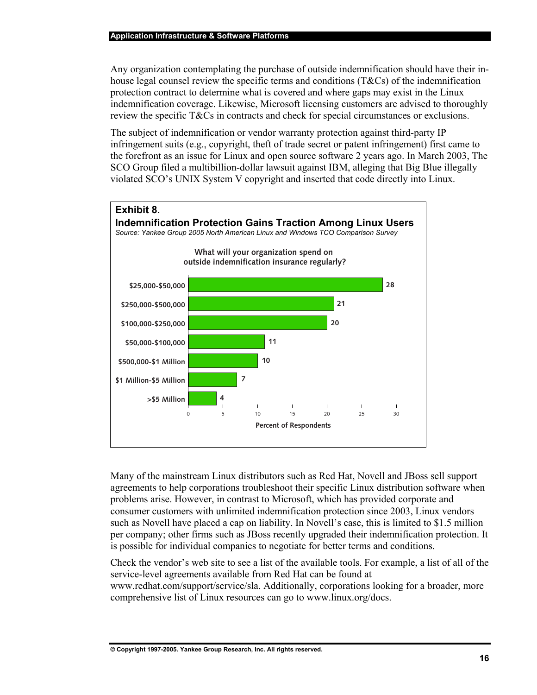Any organization contemplating the purchase of outside indemnification should have their inhouse legal counsel review the specific terms and conditions (T&Cs) of the indemnification protection contract to determine what is covered and where gaps may exist in the Linux indemnification coverage. Likewise, Microsoft licensing customers are advised to thoroughly review the specific T&Cs in contracts and check for special circumstances or exclusions.

The subject of indemnification or vendor warranty protection against third-party IP infringement suits (e.g., copyright, theft of trade secret or patent infringement) first came to the forefront as an issue for Linux and open source software 2 years ago. In March 2003, The SCO Group filed a multibillion-dollar lawsuit against IBM, alleging that Big Blue illegally violated SCO's UNIX System V copyright and inserted that code directly into Linux.



Many of the mainstream Linux distributors such as Red Hat, Novell and JBoss sell support agreements to help corporations troubleshoot their specific Linux distribution software when problems arise. However, in contrast to Microsoft, which has provided corporate and consumer customers with unlimited indemnification protection since 2003, Linux vendors such as Novell have placed a cap on liability. In Novell's case, this is limited to \$1.5 million per company; other firms such as JBoss recently upgraded their indemnification protection. It is possible for individual companies to negotiate for better terms and conditions.

Check the vendor's web site to see a list of the available tools. For example, a list of all of the service-level agreements available from Red Hat can be found at

www.redhat.com/support/service/sla. Additionally, corporations looking for a broader, more comprehensive list of Linux resources can go to www.linux.org/docs.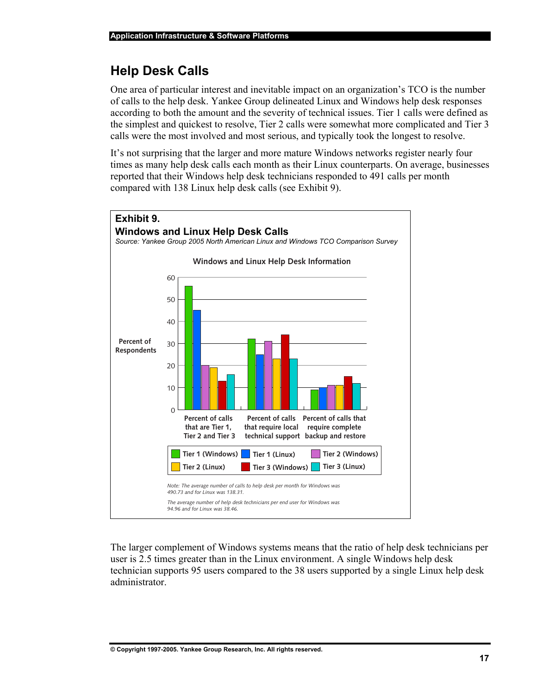# **Help Desk Calls**

One area of particular interest and inevitable impact on an organization's TCO is the number of calls to the help desk. Yankee Group delineated Linux and Windows help desk responses according to both the amount and the severity of technical issues. Tier 1 calls were defined as the simplest and quickest to resolve, Tier 2 calls were somewhat more complicated and Tier 3 calls were the most involved and most serious, and typically took the longest to resolve.

It's not surprising that the larger and more mature Windows networks register nearly four times as many help desk calls each month as their Linux counterparts. On average, businesses reported that their Windows help desk technicians responded to 491 calls per month compared with 138 Linux help desk calls (see Exhibit 9).



The larger complement of Windows systems means that the ratio of help desk technicians per user is 2.5 times greater than in the Linux environment. A single Windows help desk technician supports 95 users compared to the 38 users supported by a single Linux help desk administrator.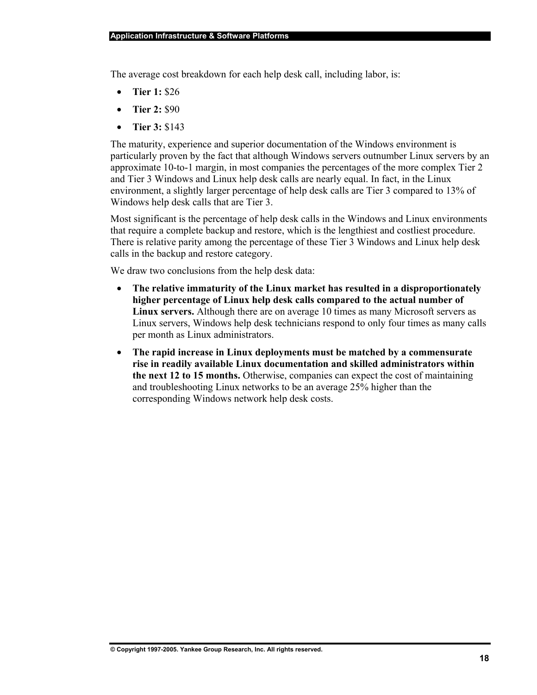The average cost breakdown for each help desk call, including labor, is:

- **Tier 1:** \$26
- **Tier 2:** \$90
- **Tier 3:** \$143

The maturity, experience and superior documentation of the Windows environment is particularly proven by the fact that although Windows servers outnumber Linux servers by an approximate 10-to-1 margin, in most companies the percentages of the more complex Tier 2 and Tier 3 Windows and Linux help desk calls are nearly equal. In fact, in the Linux environment, a slightly larger percentage of help desk calls are Tier 3 compared to 13% of Windows help desk calls that are Tier 3.

Most significant is the percentage of help desk calls in the Windows and Linux environments that require a complete backup and restore, which is the lengthiest and costliest procedure. There is relative parity among the percentage of these Tier 3 Windows and Linux help desk calls in the backup and restore category.

We draw two conclusions from the help desk data:

- **The relative immaturity of the Linux market has resulted in a disproportionately higher percentage of Linux help desk calls compared to the actual number of Linux servers.** Although there are on average 10 times as many Microsoft servers as Linux servers, Windows help desk technicians respond to only four times as many calls per month as Linux administrators.
- **The rapid increase in Linux deployments must be matched by a commensurate rise in readily available Linux documentation and skilled administrators within the next 12 to 15 months.** Otherwise, companies can expect the cost of maintaining and troubleshooting Linux networks to be an average 25% higher than the corresponding Windows network help desk costs.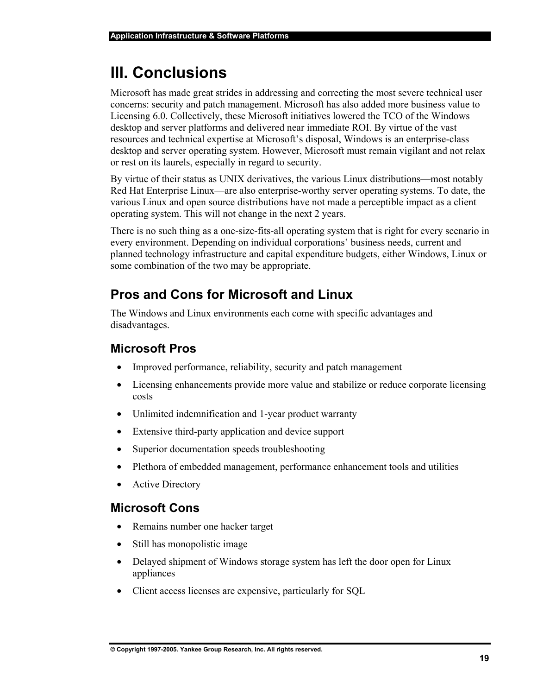# **III. Conclusions**

Microsoft has made great strides in addressing and correcting the most severe technical user concerns: security and patch management. Microsoft has also added more business value to Licensing 6.0. Collectively, these Microsoft initiatives lowered the TCO of the Windows desktop and server platforms and delivered near immediate ROI. By virtue of the vast resources and technical expertise at Microsoft's disposal, Windows is an enterprise-class desktop and server operating system. However, Microsoft must remain vigilant and not relax or rest on its laurels, especially in regard to security.

By virtue of their status as UNIX derivatives, the various Linux distributions—most notably Red Hat Enterprise Linux—are also enterprise-worthy server operating systems. To date, the various Linux and open source distributions have not made a perceptible impact as a client operating system. This will not change in the next 2 years.

There is no such thing as a one-size-fits-all operating system that is right for every scenario in every environment. Depending on individual corporations' business needs, current and planned technology infrastructure and capital expenditure budgets, either Windows, Linux or some combination of the two may be appropriate.

# **Pros and Cons for Microsoft and Linux**

The Windows and Linux environments each come with specific advantages and disadvantages.

### **Microsoft Pros**

- Improved performance, reliability, security and patch management
- Licensing enhancements provide more value and stabilize or reduce corporate licensing costs
- Unlimited indemnification and 1-year product warranty
- Extensive third-party application and device support
- Superior documentation speeds troubleshooting
- Plethora of embedded management, performance enhancement tools and utilities
- Active Directory

### **Microsoft Cons**

- Remains number one hacker target
- Still has monopolistic image
- Delayed shipment of Windows storage system has left the door open for Linux appliances
- Client access licenses are expensive, particularly for SQL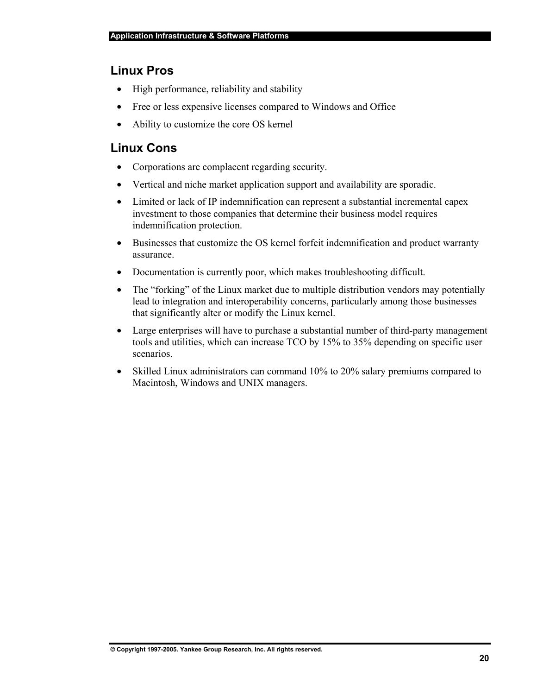### **Linux Pros**

- High performance, reliability and stability
- Free or less expensive licenses compared to Windows and Office
- Ability to customize the core OS kernel

### **Linux Cons**

- Corporations are complacent regarding security.
- Vertical and niche market application support and availability are sporadic.
- Limited or lack of IP indemnification can represent a substantial incremental capex investment to those companies that determine their business model requires indemnification protection.
- Businesses that customize the OS kernel forfeit indemnification and product warranty assurance.
- Documentation is currently poor, which makes troubleshooting difficult.
- The "forking" of the Linux market due to multiple distribution vendors may potentially lead to integration and interoperability concerns, particularly among those businesses that significantly alter or modify the Linux kernel.
- Large enterprises will have to purchase a substantial number of third-party management tools and utilities, which can increase TCO by 15% to 35% depending on specific user scenarios.
- Skilled Linux administrators can command 10% to 20% salary premiums compared to Macintosh, Windows and UNIX managers.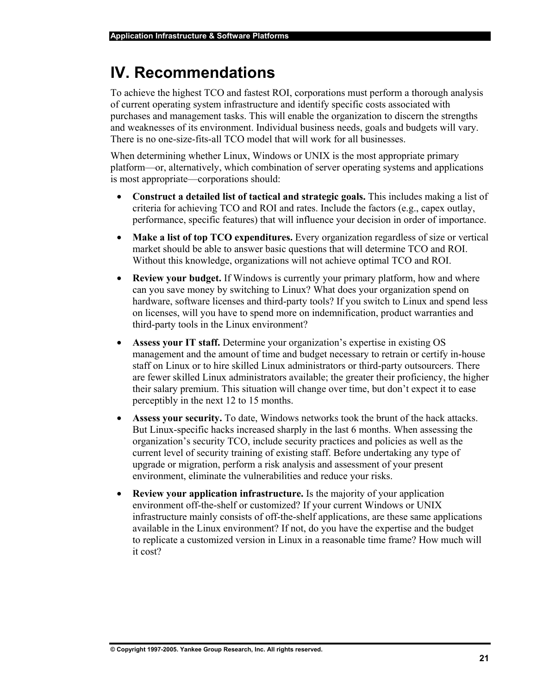# **IV. Recommendations**

To achieve the highest TCO and fastest ROI, corporations must perform a thorough analysis of current operating system infrastructure and identify specific costs associated with purchases and management tasks. This will enable the organization to discern the strengths and weaknesses of its environment. Individual business needs, goals and budgets will vary. There is no one-size-fits-all TCO model that will work for all businesses.

When determining whether Linux, Windows or UNIX is the most appropriate primary platform—or, alternatively, which combination of server operating systems and applications is most appropriate—corporations should:

- **Construct a detailed list of tactical and strategic goals.** This includes making a list of criteria for achieving TCO and ROI and rates. Include the factors (e.g., capex outlay, performance, specific features) that will influence your decision in order of importance.
- **Make a list of top TCO expenditures.** Every organization regardless of size or vertical market should be able to answer basic questions that will determine TCO and ROI. Without this knowledge, organizations will not achieve optimal TCO and ROI.
- **Review your budget.** If Windows is currently your primary platform, how and where can you save money by switching to Linux? What does your organization spend on hardware, software licenses and third-party tools? If you switch to Linux and spend less on licenses, will you have to spend more on indemnification, product warranties and third-party tools in the Linux environment?
- **Assess your IT staff.** Determine your organization's expertise in existing OS management and the amount of time and budget necessary to retrain or certify in-house staff on Linux or to hire skilled Linux administrators or third-party outsourcers. There are fewer skilled Linux administrators available; the greater their proficiency, the higher their salary premium. This situation will change over time, but don't expect it to ease perceptibly in the next 12 to 15 months.
- Assess your security. To date, Windows networks took the brunt of the hack attacks. But Linux-specific hacks increased sharply in the last 6 months. When assessing the organization's security TCO, include security practices and policies as well as the current level of security training of existing staff. Before undertaking any type of upgrade or migration, perform a risk analysis and assessment of your present environment, eliminate the vulnerabilities and reduce your risks.
- **Review your application infrastructure.** Is the majority of your application environment off-the-shelf or customized? If your current Windows or UNIX infrastructure mainly consists of off-the-shelf applications, are these same applications available in the Linux environment? If not, do you have the expertise and the budget to replicate a customized version in Linux in a reasonable time frame? How much will it cost?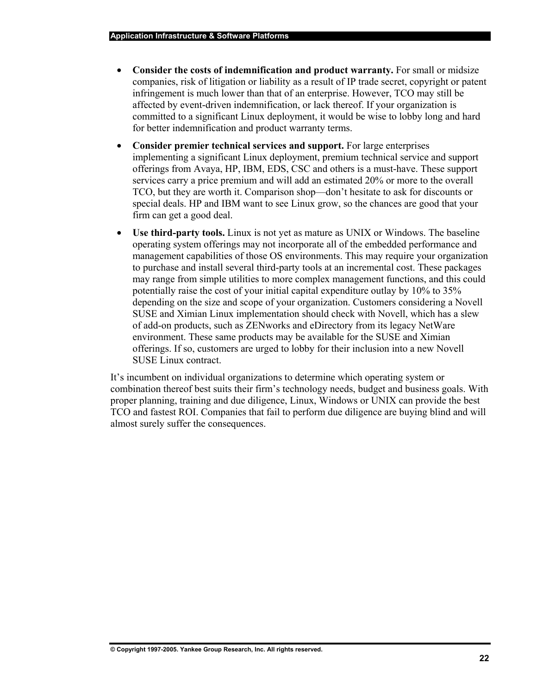- Consider the costs of indemnification and product warranty. For small or midsize companies, risk of litigation or liability as a result of IP trade secret, copyright or patent infringement is much lower than that of an enterprise. However, TCO may still be affected by event-driven indemnification, or lack thereof. If your organization is committed to a significant Linux deployment, it would be wise to lobby long and hard for better indemnification and product warranty terms.
- **Consider premier technical services and support.** For large enterprises implementing a significant Linux deployment, premium technical service and support offerings from Avaya, HP, IBM, EDS, CSC and others is a must-have. These support services carry a price premium and will add an estimated 20% or more to the overall TCO, but they are worth it. Comparison shop—don't hesitate to ask for discounts or special deals. HP and IBM want to see Linux grow, so the chances are good that your firm can get a good deal.
- **Use third-party tools.** Linux is not yet as mature as UNIX or Windows. The baseline operating system offerings may not incorporate all of the embedded performance and management capabilities of those OS environments. This may require your organization to purchase and install several third-party tools at an incremental cost. These packages may range from simple utilities to more complex management functions, and this could potentially raise the cost of your initial capital expenditure outlay by 10% to 35% depending on the size and scope of your organization. Customers considering a Novell SUSE and Ximian Linux implementation should check with Novell, which has a slew of add-on products, such as ZENworks and eDirectory from its legacy NetWare environment. These same products may be available for the SUSE and Ximian offerings. If so, customers are urged to lobby for their inclusion into a new Novell SUSE Linux contract.

It's incumbent on individual organizations to determine which operating system or combination thereof best suits their firm's technology needs, budget and business goals. With proper planning, training and due diligence, Linux, Windows or UNIX can provide the best TCO and fastest ROI. Companies that fail to perform due diligence are buying blind and will almost surely suffer the consequences.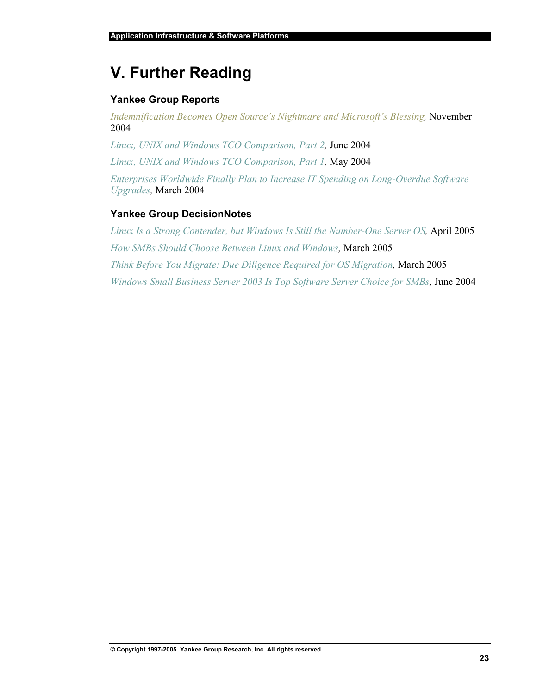# **V. Further Reading**

### **Yankee Group Reports**

*Indemnification Becomes Open Source's Nightmare and Microsoft's Blessing,* November 2004

*Linux, UNIX and Windows TCO Comparison, Part 2,* June 2004

*Linux, UNIX and Windows TCO Comparison, Part 1,* May 2004

*Enterprises Worldwide Finally Plan to Increase IT Spending on Long-Overdue Software Upgrades,* March 2004

### **Yankee Group DecisionNotes**

*Linux Is a Strong Contender, but Windows Is Still the Number-One Server OS,* April 2005 *How SMBs Should Choose Between Linux and Windows,* March 2005 *Think Before You Migrate: Due Diligence Required for OS Migration,* March 2005 *Windows Small Business Server 2003 Is Top Software Server Choice for SMBs,* June 2004